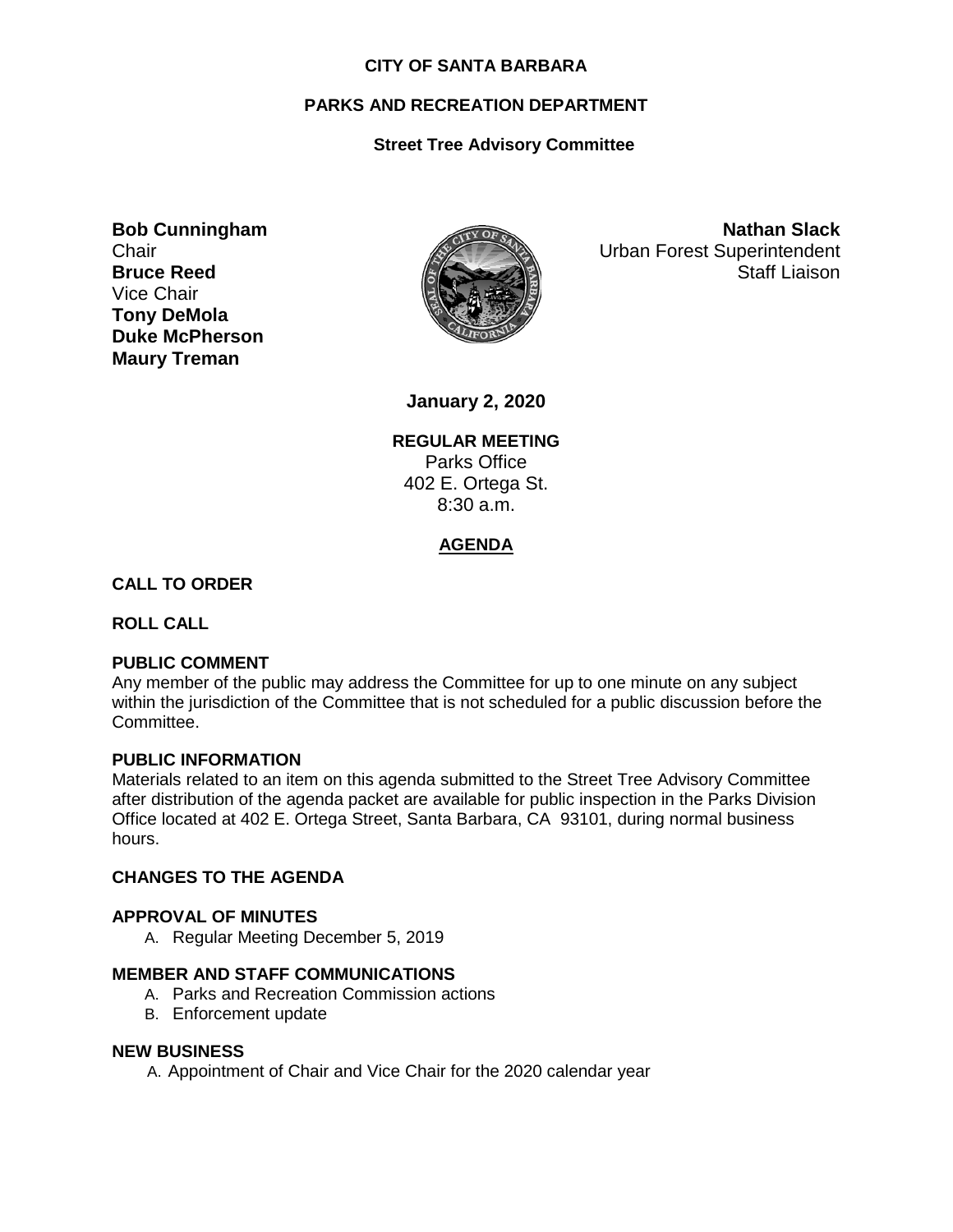#### **CITY OF SANTA BARBARA**

# **PARKS AND RECREATION DEPARTMENT**

# **Street Tree Advisory Committee**

**Bob Cunningham Chair Bruce Reed** Vice Chair **Tony DeMola Duke McPherson Maury Treman**



**Nathan Slack** Urban Forest Superintendent Staff Liaison

**January 2, 2020**

**REGULAR MEETING** Parks Office 402 E. Ortega St. 8:30 a.m.

# **AGENDA**

### **CALL TO ORDER**

**ROLL CALL**

## **PUBLIC COMMENT**

Any member of the public may address the Committee for up to one minute on any subject within the jurisdiction of the Committee that is not scheduled for a public discussion before the Committee.

#### **PUBLIC INFORMATION**

Materials related to an item on this agenda submitted to the Street Tree Advisory Committee after distribution of the agenda packet are available for public inspection in the Parks Division Office located at 402 E. Ortega Street, Santa Barbara, CA 93101, during normal business hours.

#### **CHANGES TO THE AGENDA**

#### **APPROVAL OF MINUTES**

A. Regular Meeting December 5, 2019

## **MEMBER AND STAFF COMMUNICATIONS**

- A. Parks and Recreation Commission actions
- B. Enforcement update

#### **NEW BUSINESS**

A. Appointment of Chair and Vice Chair for the 2020 calendar year